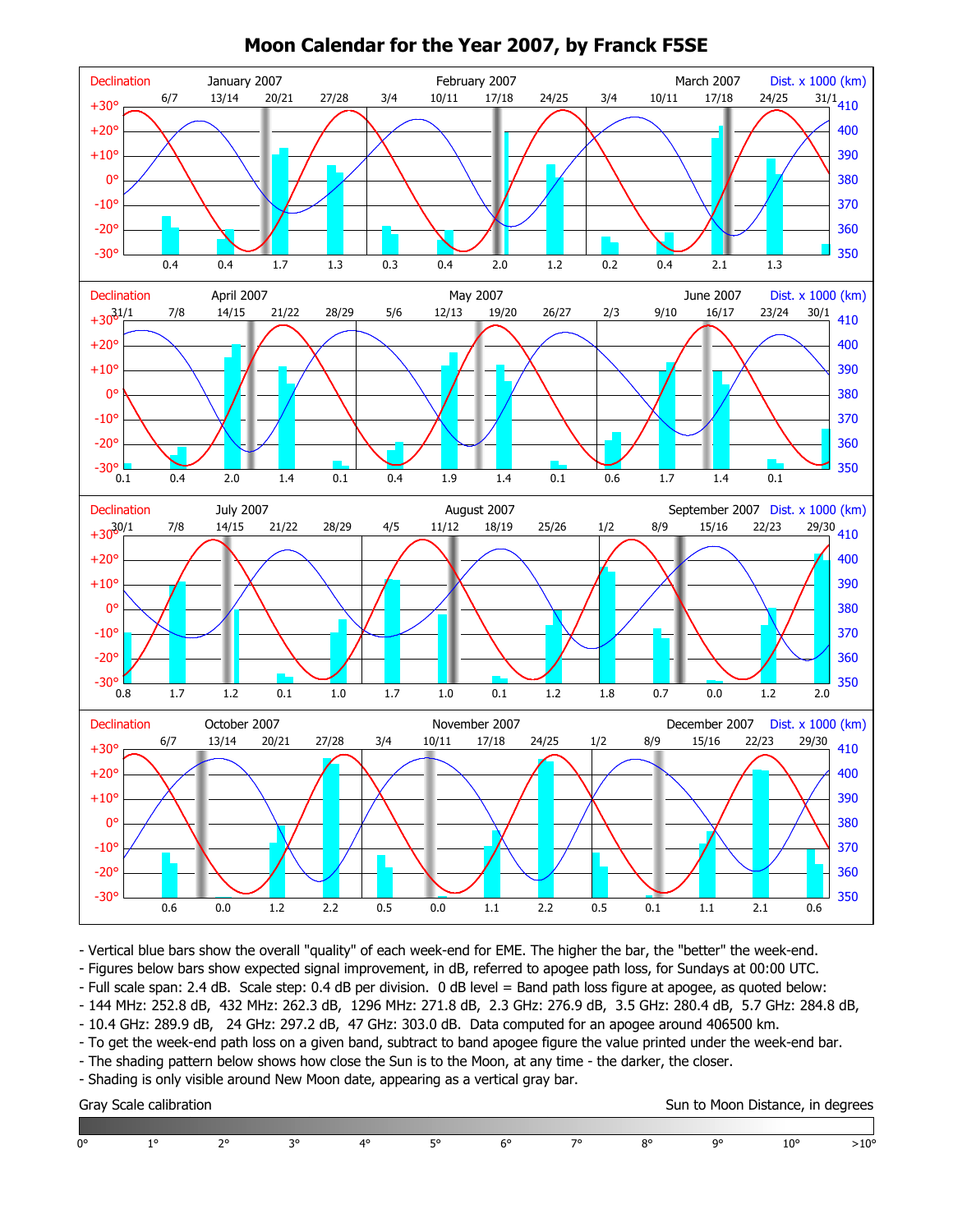

## **Moon Calendar for the Year 2007, by Franck F5SE**

- Vertical blue bars show the overall "quality" of each week-end for EME. The higher the bar, the "better" the week-end.

- Figures below bars show expected signal improvement, in dB, referred to apogee path loss, for Sundays at 00:00 UTC.

- Full scale span: 2.4 dB. Scale step: 0.4 dB per division. 0 dB level = Band path loss figure at apogee, as quoted below:

- 144 MHz: 252.8 dB, 432 MHz: 262.3 dB, 1296 MHz: 271.8 dB, 2.3 GHz: 276.9 dB, 3.5 GHz: 280.4 dB, 5.7 GHz: 284.8 dB,

- 10.4 GHz: 289.9 dB, 24 GHz: 297.2 dB, 47 GHz: 303.0 dB. Data computed for an apogee around 406500 km.

- To get the week-end path loss on a given band, subtract to band apogee figure the value printed under the week-end bar.

- The shading pattern below shows how close the Sun is to the Moon, at any time - the darker, the closer.

- Shading is only visible around New Moon date, appearing as a vertical gray bar.

Gray Scale calibration Sun to Moon Distance, in degrees

| 0° | $\Omega$ | $\sim$ | 4° |  | — ה | 00 | o | $\Omega$ |  |
|----|----------|--------|----|--|-----|----|---|----------|--|